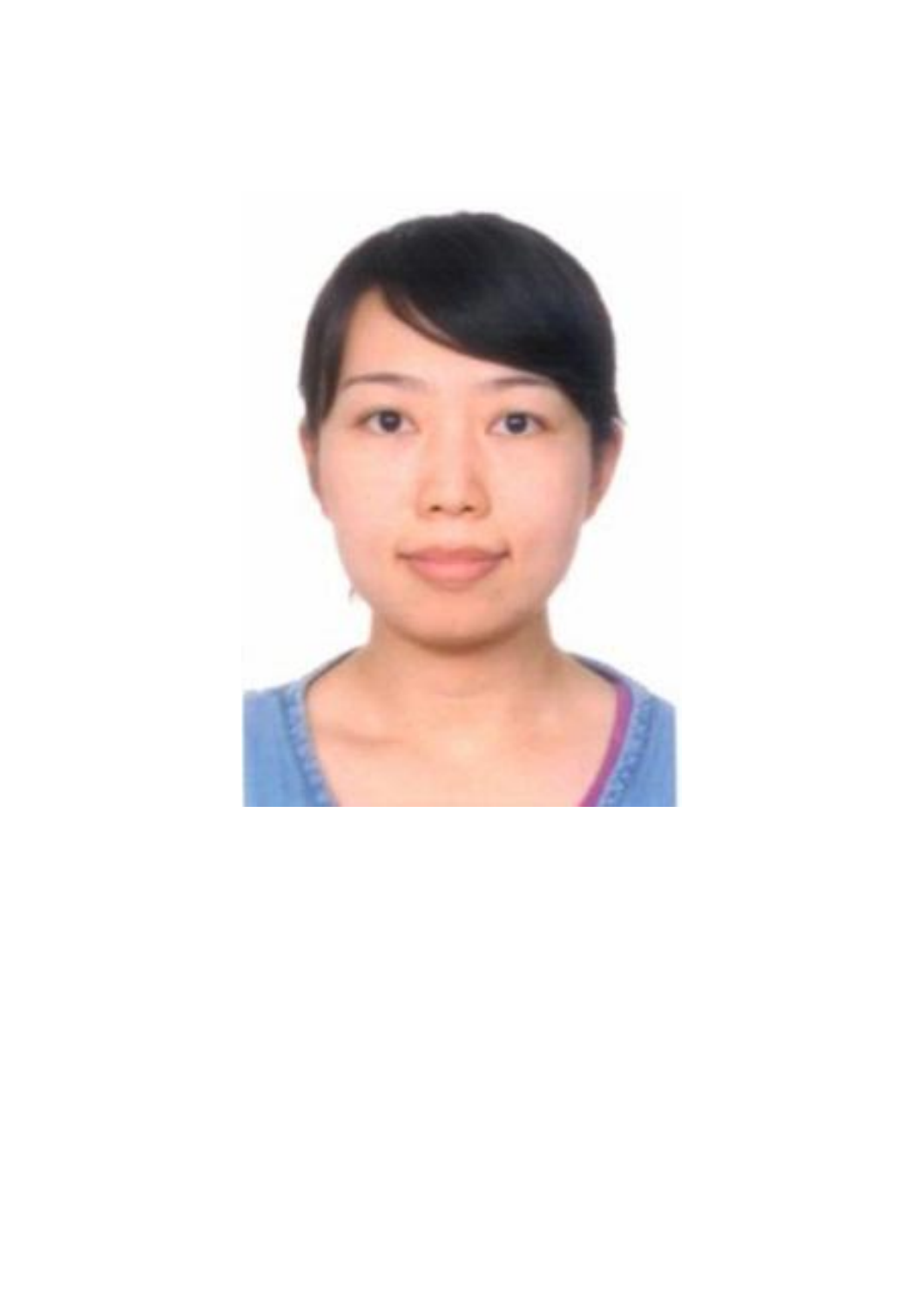